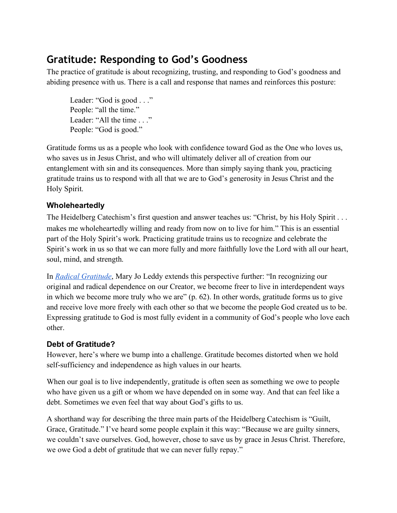# **Gratitude: Responding to God's Goodness**

The practice of gratitude is about recognizing, trusting, and responding to God's goodness and abiding presence with us. There is a call and response that names and reinforces this posture:

Leader: "God is good . . ." People: "all the time." Leader: "All the time . . ." People: "God is good."

Gratitude forms us as a people who look with confidence toward God as the One who loves us, who saves us in Jesus Christ, and who will ultimately deliver all of creation from our entanglement with sin and its consequences. More than simply saying thank you, practicing gratitude trains us to respond with all that we are to God's generosity in Jesus Christ and the Holy Spirit.

## **Wholeheartedly**

The Heidelberg Catechism's first question and answer teaches us: "Christ, by his Holy Spirit . . . makes me wholeheartedly willing and ready from now on to live for him." This is an essential part of the Holy Spirit's work. Practicing gratitude trains us to recognize and celebrate the Spirit's work in us so that we can more fully and more faithfully love the Lord with all our heart, soul, mind, and strength.

In *[Radical Gratitude](https://www.amazon.com/Radical-Gratitude-Leddy/dp/1570754489)*, Mary Jo Leddy extends this perspective further: "In recognizing our original and radical dependence on our Creator, we become freer to live in interdependent ways in which we become more truly who we are" (p. 62). In other words, gratitude forms us to give and receive love more freely with each other so that we become the people God created us to be. Expressing gratitude to God is most fully evident in a community of God's people who love each other.

#### **Debt of Gratitude?**

However, here's where we bump into a challenge. Gratitude becomes distorted when we hold self-sufficiency and independence as high values in our hearts.

When our goal is to live independently, gratitude is often seen as something we owe to people who have given us a gift or whom we have depended on in some way. And that can feel like a debt. Sometimes we even feel that way about God's gifts to us.

A shorthand way for describing the three main parts of the Heidelberg Catechism is "Guilt, Grace, Gratitude." I've heard some people explain it this way: "Because we are guilty sinners, we couldn't save ourselves. God, however, chose to save us by grace in Jesus Christ. Therefore, we owe God a debt of gratitude that we can never fully repay."